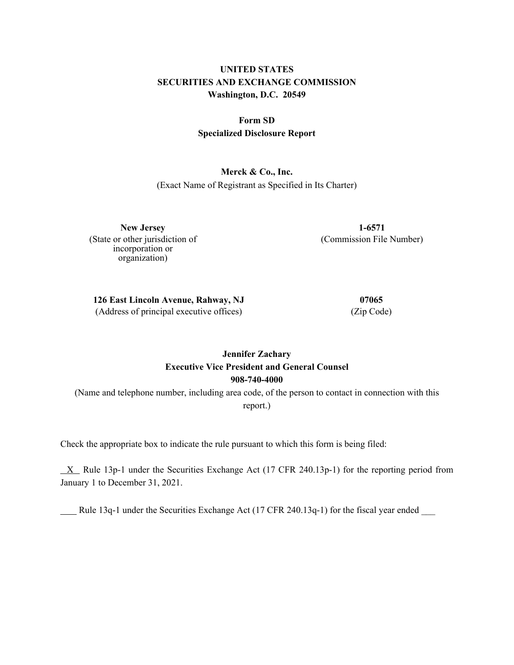## **UNITED STATES SECURITIES AND EXCHANGE COMMISSION Washington, D.C. 20549**

## **Form SD Specialized Disclosure Report**

#### **Merck & Co., Inc.**

(Exact Name of Registrant as Specified in Its Charter)

**New Jersey 1-6571** (State or other jurisdiction of incorporation or organization)

(Commission File Number)

**126 East Lincoln Avenue, Rahway, NJ 07065** (Address of principal executive offices) (Zip Code)

### **Jennifer Zachary Executive Vice President and General Counsel 908-740-4000**

(Name and telephone number, including area code, of the person to contact in connection with this report.)

Check the appropriate box to indicate the rule pursuant to which this form is being filed:

 $X$  Rule 13p-1 under the Securities Exchange Act (17 CFR 240.13p-1) for the reporting period from January 1 to December 31, 2021.

Rule 13q-1 under the Securities Exchange Act (17 CFR 240.13q-1) for the fiscal year ended \_\_\_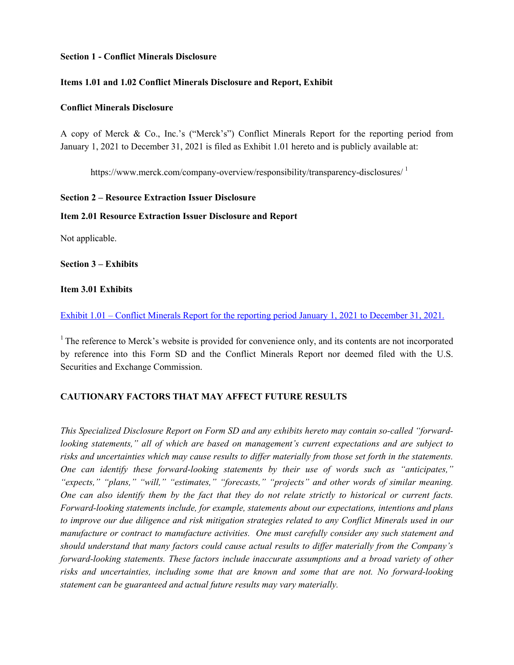#### **Section 1 - Conflict Minerals Disclosure**

#### **Items 1.01 and 1.02 Conflict Minerals Disclosure and Report, Exhibit**

#### **Conflict Minerals Disclosure**

A copy of Merck & Co., Inc.'s ("Merck's") Conflict Minerals Report for the reporting period from January 1, 2021 to December 31, 2021 is filed as Exhibit 1.01 hereto and is publicly available at:

https://www.merck.com/company-overview/responsibility/transparency-disclosures/<sup>1</sup>

#### **Section 2 – Resource Extraction Issuer Disclosure**

#### **Item 2.01 Resource Extraction Issuer Disclosure and Report**

Not applicable.

**Section 3 – Exhibits**

#### **Item 3.01 Exhibits**

[Exhibit 1.01 – Conflict Minerals Report for the reporting period January 1, 2021 to December 31, 2021.](#page-4-0)

<sup>1</sup>The reference to Merck's website is provided for convenience only, and its contents are not incorporated by reference into this Form SD and the Conflict Minerals Report nor deemed filed with the U.S. Securities and Exchange Commission.

#### **CAUTIONARY FACTORS THAT MAY AFFECT FUTURE RESULTS**

*This Specialized Disclosure Report on Form SD and any exhibits hereto may contain so-called "forwardlooking statements," all of which are based on management's current expectations and are subject to risks and uncertainties which may cause results to differ materially from those set forth in the statements. One can identify these forward-looking statements by their use of words such as "anticipates," "expects," "plans," "will," "estimates," "forecasts," "projects" and other words of similar meaning. One can also identify them by the fact that they do not relate strictly to historical or current facts. Forward-looking statements include, for example, statements about our expectations, intentions and plans to improve our due diligence and risk mitigation strategies related to any Conflict Minerals used in our manufacture or contract to manufacture activities. One must carefully consider any such statement and should understand that many factors could cause actual results to differ materially from the Company's forward-looking statements. These factors include inaccurate assumptions and a broad variety of other risks and uncertainties, including some that are known and some that are not. No forward-looking statement can be guaranteed and actual future results may vary materially.*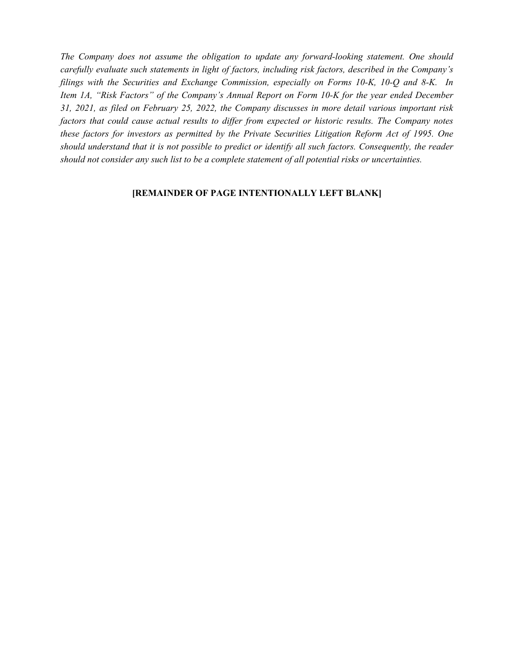*The Company does not assume the obligation to update any forward-looking statement. One should carefully evaluate such statements in light of factors, including risk factors, described in the Company's filings with the Securities and Exchange Commission, especially on Forms 10-K, 10-Q and 8-K. In Item 1A, "Risk Factors" of the Company's Annual Report on Form 10-K for the year ended December 31, 2021, as filed on February 25, 2022, the Company discusses in more detail various important risk factors that could cause actual results to differ from expected or historic results. The Company notes these factors for investors as permitted by the Private Securities Litigation Reform Act of 1995. One should understand that it is not possible to predict or identify all such factors. Consequently, the reader should not consider any such list to be a complete statement of all potential risks or uncertainties.*

#### **[REMAINDER OF PAGE INTENTIONALLY LEFT BLANK]**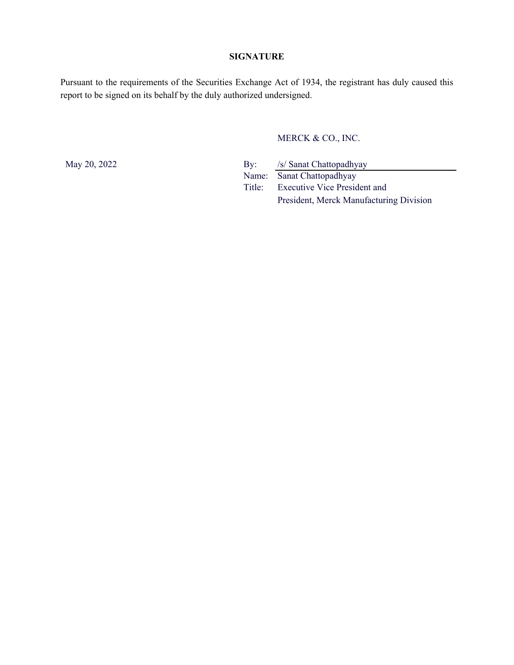#### **SIGNATURE**

Pursuant to the requirements of the Securities Exchange Act of 1934, the registrant has duly caused this report to be signed on its behalf by the duly authorized undersigned.

MERCK & CO., INC.

May 20, 2022 By: /s/ Sanat Chattopadhyay Name: Sanat Chattopadhyay Title: Executive Vice President and President, Merck Manufacturing Division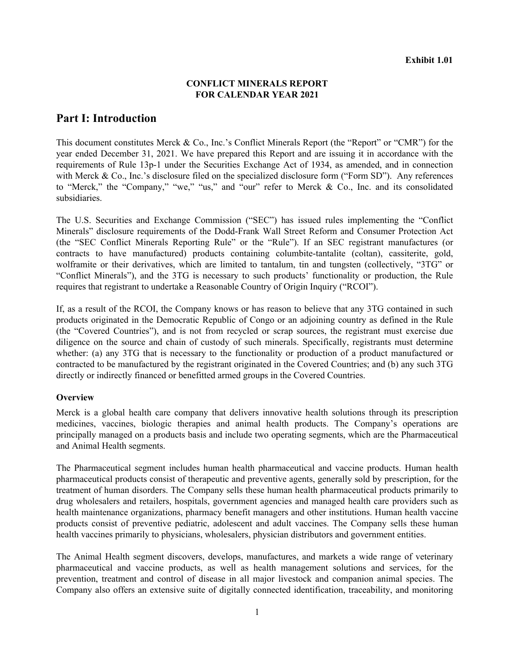#### **CONFLICT MINERALS REPORT FOR CALENDAR YEAR 2021**

### <span id="page-4-0"></span>**Part I: Introduction**

This document constitutes Merck & Co., Inc.'s Conflict Minerals Report (the "Report" or "CMR") for the year ended December 31, 2021. We have prepared this Report and are issuing it in accordance with the requirements of Rule 13p-1 under the Securities Exchange Act of 1934, as amended, and in connection with Merck & Co., Inc.'s disclosure filed on the specialized disclosure form ("Form SD"). Any references to "Merck," the "Company," "we," "us," and "our" refer to Merck & Co., Inc. and its consolidated subsidiaries.

The U.S. Securities and Exchange Commission ("SEC") has issued rules implementing the "Conflict Minerals" disclosure requirements of the Dodd-Frank Wall Street Reform and Consumer Protection Act (the "SEC Conflict Minerals Reporting Rule" or the "Rule"). If an SEC registrant manufactures (or contracts to have manufactured) products containing columbite-tantalite (coltan), cassiterite, gold, wolframite or their derivatives, which are limited to tantalum, tin and tungsten (collectively, "3TG" or "Conflict Minerals"), and the 3TG is necessary to such products' functionality or production, the Rule requires that registrant to undertake a Reasonable Country of Origin Inquiry ("RCOI").

If, as a result of the RCOI, the Company knows or has reason to believe that any 3TG contained in such products originated in the Democratic Republic of Congo or an adjoining country as defined in the Rule (the "Covered Countries"), and is not from recycled or scrap sources, the registrant must exercise due diligence on the source and chain of custody of such minerals. Specifically, registrants must determine whether: (a) any 3TG that is necessary to the functionality or production of a product manufactured or contracted to be manufactured by the registrant originated in the Covered Countries; and (b) any such 3TG directly or indirectly financed or benefitted armed groups in the Covered Countries.

#### **Overview**

Merck is a global health care company that delivers innovative health solutions through its prescription medicines, vaccines, biologic therapies and animal health products. The Company's operations are principally managed on a products basis and include two operating segments, which are the Pharmaceutical and Animal Health segments.

The Pharmaceutical segment includes human health pharmaceutical and vaccine products. Human health pharmaceutical products consist of therapeutic and preventive agents, generally sold by prescription, for the treatment of human disorders. The Company sells these human health pharmaceutical products primarily to drug wholesalers and retailers, hospitals, government agencies and managed health care providers such as health maintenance organizations, pharmacy benefit managers and other institutions. Human health vaccine products consist of preventive pediatric, adolescent and adult vaccines. The Company sells these human health vaccines primarily to physicians, wholesalers, physician distributors and government entities.

The Animal Health segment discovers, develops, manufactures, and markets a wide range of veterinary pharmaceutical and vaccine products, as well as health management solutions and services, for the prevention, treatment and control of disease in all major livestock and companion animal species. The Company also offers an extensive suite of digitally connected identification, traceability, and monitoring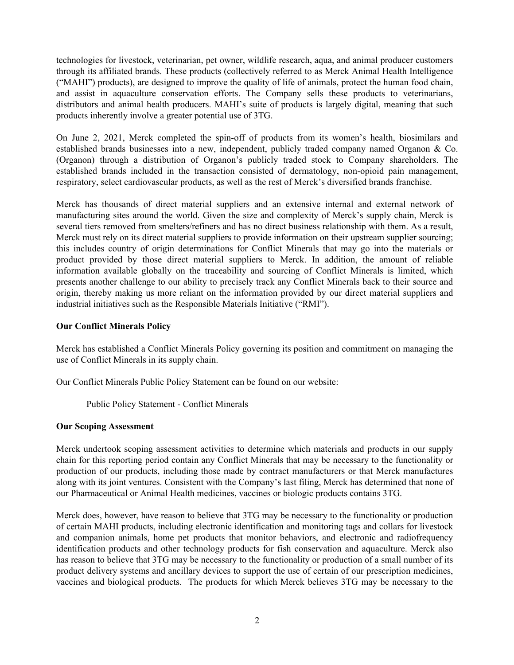technologies for livestock, veterinarian, pet owner, wildlife research, aqua, and animal producer customers through its affiliated brands. These products (collectively referred to as Merck Animal Health Intelligence ("MAHI") products), are designed to improve the quality of life of animals, protect the human food chain, and assist in aquaculture conservation efforts. The Company sells these products to veterinarians, distributors and animal health producers. MAHI's suite of products is largely digital, meaning that such products inherently involve a greater potential use of 3TG.

On June 2, 2021, Merck completed the spin-off of products from its women's health, biosimilars and established brands businesses into a new, independent, publicly traded company named Organon & Co. (Organon) through a distribution of Organon's publicly traded stock to Company shareholders. The established brands included in the transaction consisted of dermatology, non-opioid pain management, respiratory, select cardiovascular products, as well as the rest of Merck's diversified brands franchise.

Merck has thousands of direct material suppliers and an extensive internal and external network of manufacturing sites around the world. Given the size and complexity of Merck's supply chain, Merck is several tiers removed from smelters/refiners and has no direct business relationship with them. As a result, Merck must rely on its direct material suppliers to provide information on their upstream supplier sourcing; this includes country of origin determinations for Conflict Minerals that may go into the materials or product provided by those direct material suppliers to Merck. In addition, the amount of reliable information available globally on the traceability and sourcing of Conflict Minerals is limited, which presents another challenge to our ability to precisely track any Conflict Minerals back to their source and origin, thereby making us more reliant on the information provided by our direct material suppliers and industrial initiatives such as the Responsible Materials Initiative ("RMI").

#### **Our Conflict Minerals Policy**

Merck has established a Conflict Minerals Policy governing its position and commitment on managing the use of Conflict Minerals in its supply chain.

Our Conflict Minerals Public Policy Statement can be found on our website:

Public Policy Statement - Conflict Minerals

#### **Our Scoping Assessment**

Merck undertook scoping assessment activities to determine which materials and products in our supply chain for this reporting period contain any Conflict Minerals that may be necessary to the functionality or production of our products, including those made by contract manufacturers or that Merck manufactures along with its joint ventures. Consistent with the Company's last filing, Merck has determined that none of our Pharmaceutical or Animal Health medicines, vaccines or biologic products contains 3TG.

Merck does, however, have reason to believe that 3TG may be necessary to the functionality or production of certain MAHI products, including electronic identification and monitoring tags and collars for livestock and companion animals, home pet products that monitor behaviors, and electronic and radiofrequency identification products and other technology products for fish conservation and aquaculture. Merck also has reason to believe that 3TG may be necessary to the functionality or production of a small number of its product delivery systems and ancillary devices to support the use of certain of our prescription medicines, vaccines and biological products. The products for which Merck believes 3TG may be necessary to the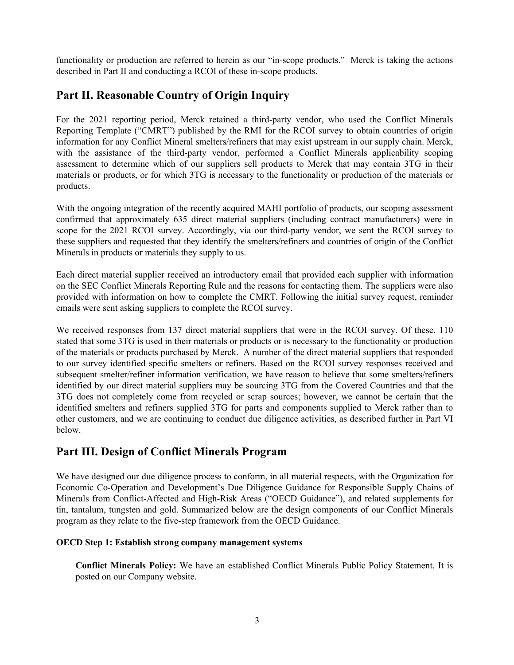functionality or production are referred to herein as our "in-scope products." Merck is taking the actions described in Part II and conducting a RCOI of these in-scope products.

## **Part II. Reasonable Country of Origin Inquiry**

For the 2021 reporting period, Merck retained a third-party vendor, who used the Conflict Minerals Reporting Template ("CMRT") published by the RMI for the RCOI survey to obtain countries of origin information for any Conflict Mineral smelters/refiners that may exist upstream in our supply chain. Merck, with the assistance of the third-party vendor, performed a Conflict Minerals applicability scoping assessment to determine which of our suppliers sell products to Merck that may contain 3TG in their materials or products, or for which 3TG is necessary to the functionality or production of the materials or products.

With the ongoing integration of the recently acquired MAHI portfolio of products, our scoping assessment confirmed that approximately 635 direct material suppliers (including contract manufacturers) were in scope for the 2021 RCOI survey. Accordingly, via our third-party vendor, we sent the RCOI survey to these suppliers and requested that they identify the smelters/refiners and countries of origin of the Conflict Minerals in products or materials they supply to us.

Each direct material supplier received an introductory email that provided each supplier with information on the SEC Conflict Minerals Reporting Rule and the reasons for contacting them. The suppliers were also provided with information on how to complete the CMRT. Following the initial survey request, reminder emails were sent asking suppliers to complete the RCOI survey.

We received responses from 137 direct material suppliers that were in the RCOI survey. Of these, 110 stated that some 3TG is used in their materials or products or is necessary to the functionality or production of the materials or products purchased by Merck. A number of the direct material suppliers that responded to our survey identified specific smelters or refiners. Based on the RCOI survey responses received and subsequent smelter/refiner information verification, we have reason to believe that some smelters/refiners identified by our direct material suppliers may be sourcing 3TG from the Covered Countries and that the 3TG does not completely come from recycled or scrap sources; however, we cannot be certain that the identified smelters and refiners supplied 3TG for parts and components supplied to Merck rather than to other customers, and we are continuing to conduct due diligence activities, as described further in Part VI below.

# **Part III. Design of Conflict Minerals Program**

We have designed our due diligence process to conform, in all material respects, with the Organization for Economic Co-Operation and Development's Due Diligence Guidance for Responsible Supply Chains of Minerals from Conflict-Affected and High-Risk Areas ("OECD Guidance"), and related supplements for tin, tantalum, tungsten and gold. Summarized below are the design components of our Conflict Minerals program as they relate to the five-step framework from the OECD Guidance.

### **OECD Step 1: Establish strong company management systems**

**Conflict Minerals Policy:** We have an established Conflict Minerals Public Policy Statement. It is posted on our Company website.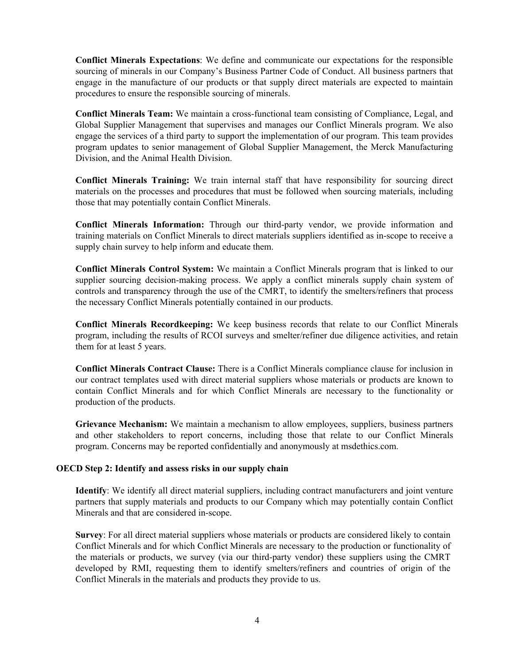**Conflict Minerals Expectations**: We define and communicate our expectations for the responsible sourcing of minerals in our Company's Business Partner Code of Conduct. All business partners that engage in the manufacture of our products or that supply direct materials are expected to maintain procedures to ensure the responsible sourcing of minerals.

**Conflict Minerals Team:** We maintain a cross-functional team consisting of Compliance, Legal, and Global Supplier Management that supervises and manages our Conflict Minerals program. We also engage the services of a third party to support the implementation of our program. This team provides program updates to senior management of Global Supplier Management, the Merck Manufacturing Division, and the Animal Health Division.

**Conflict Minerals Training:** We train internal staff that have responsibility for sourcing direct materials on the processes and procedures that must be followed when sourcing materials, including those that may potentially contain Conflict Minerals.

**Conflict Minerals Information:** Through our third-party vendor, we provide information and training materials on Conflict Minerals to direct materials suppliers identified as in-scope to receive a supply chain survey to help inform and educate them.

**Conflict Minerals Control System:** We maintain a Conflict Minerals program that is linked to our supplier sourcing decision-making process. We apply a conflict minerals supply chain system of controls and transparency through the use of the CMRT, to identify the smelters/refiners that process the necessary Conflict Minerals potentially contained in our products.

**Conflict Minerals Recordkeeping:** We keep business records that relate to our Conflict Minerals program, including the results of RCOI surveys and smelter/refiner due diligence activities, and retain them for at least 5 years.

**Conflict Minerals Contract Clause:** There is a Conflict Minerals compliance clause for inclusion in our contract templates used with direct material suppliers whose materials or products are known to contain Conflict Minerals and for which Conflict Minerals are necessary to the functionality or production of the products.

**Grievance Mechanism:** We maintain a mechanism to allow employees, suppliers, business partners and other stakeholders to report concerns, including those that relate to our Conflict Minerals program. Concerns may be reported confidentially and anonymously at msdethics.com.

#### **OECD Step 2: Identify and assess risks in our supply chain**

**Identify**: We identify all direct material suppliers, including contract manufacturers and joint venture partners that supply materials and products to our Company which may potentially contain Conflict Minerals and that are considered in-scope.

**Survey**: For all direct material suppliers whose materials or products are considered likely to contain Conflict Minerals and for which Conflict Minerals are necessary to the production or functionality of the materials or products, we survey (via our third-party vendor) these suppliers using the CMRT developed by RMI, requesting them to identify smelters/refiners and countries of origin of the Conflict Minerals in the materials and products they provide to us.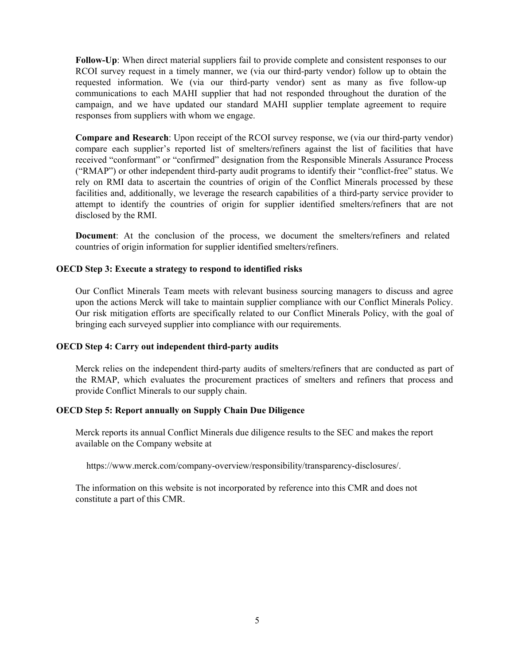**Follow-Up**: When direct material suppliers fail to provide complete and consistent responses to our RCOI survey request in a timely manner, we (via our third-party vendor) follow up to obtain the requested information. We (via our third-party vendor) sent as many as five follow-up communications to each MAHI supplier that had not responded throughout the duration of the campaign, and we have updated our standard MAHI supplier template agreement to require responses from suppliers with whom we engage.

**Compare and Research**: Upon receipt of the RCOI survey response, we (via our third-party vendor) compare each supplier's reported list of smelters/refiners against the list of facilities that have received "conformant" or "confirmed" designation from the Responsible Minerals Assurance Process ("RMAP") or other independent third-party audit programs to identify their "conflict-free" status. We rely on RMI data to ascertain the countries of origin of the Conflict Minerals processed by these facilities and, additionally, we leverage the research capabilities of a third-party service provider to attempt to identify the countries of origin for supplier identified smelters/refiners that are not disclosed by the RMI.

**Document**: At the conclusion of the process, we document the smelters/refiners and related countries of origin information for supplier identified smelters/refiners.

#### **OECD Step 3: Execute a strategy to respond to identified risks**

Our Conflict Minerals Team meets with relevant business sourcing managers to discuss and agree upon the actions Merck will take to maintain supplier compliance with our Conflict Minerals Policy. Our risk mitigation efforts are specifically related to our Conflict Minerals Policy, with the goal of bringing each surveyed supplier into compliance with our requirements.

#### **OECD Step 4: Carry out independent third-party audits**

Merck relies on the independent third-party audits of smelters/refiners that are conducted as part of the RMAP, which evaluates the procurement practices of smelters and refiners that process and provide Conflict Minerals to our supply chain.

#### **OECD Step 5: Report annually on Supply Chain Due Diligence**

Merck reports its annual Conflict Minerals due diligence results to the SEC and makes the report available on the Company website at

https://www.merck.com/company-overview/responsibility/transparency-disclosures/.

The information on this website is not incorporated by reference into this CMR and does not constitute a part of this CMR.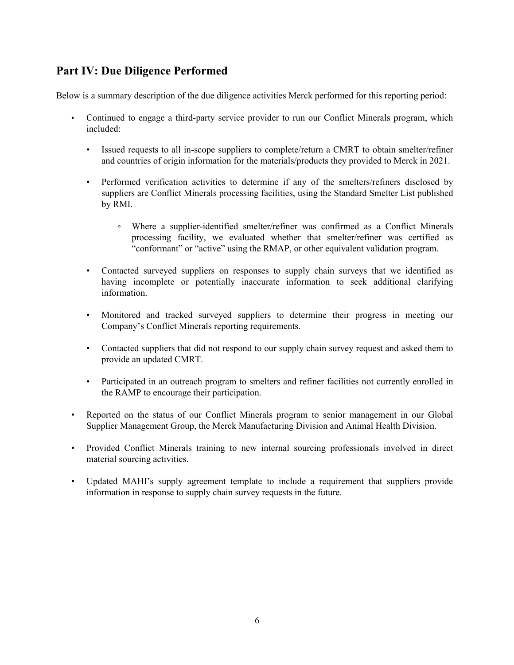# **Part IV: Due Diligence Performed**

Below is a summary description of the due diligence activities Merck performed for this reporting period:

- Continued to engage a third-party service provider to run our Conflict Minerals program, which included:
	- Issued requests to all in-scope suppliers to complete/return a CMRT to obtain smelter/refiner and countries of origin information for the materials/products they provided to Merck in 2021.
	- Performed verification activities to determine if any of the smelters/refiners disclosed by suppliers are Conflict Minerals processing facilities, using the Standard Smelter List published by RMI.
		- Where a supplier-identified smelter/refiner was confirmed as a Conflict Minerals processing facility, we evaluated whether that smelter/refiner was certified as "conformant" or "active" using the RMAP, or other equivalent validation program.
	- Contacted surveyed suppliers on responses to supply chain surveys that we identified as having incomplete or potentially inaccurate information to seek additional clarifying information.
	- Monitored and tracked surveyed suppliers to determine their progress in meeting our Company's Conflict Minerals reporting requirements.
	- Contacted suppliers that did not respond to our supply chain survey request and asked them to provide an updated CMRT.
	- Participated in an outreach program to smelters and refiner facilities not currently enrolled in the RAMP to encourage their participation.
- Reported on the status of our Conflict Minerals program to senior management in our Global Supplier Management Group, the Merck Manufacturing Division and Animal Health Division.
- Provided Conflict Minerals training to new internal sourcing professionals involved in direct material sourcing activities.
- Updated MAHI's supply agreement template to include a requirement that suppliers provide information in response to supply chain survey requests in the future.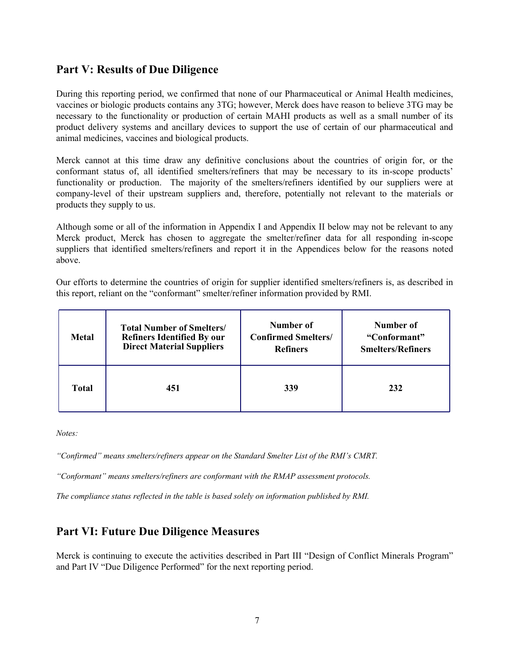## **Part V: Results of Due Diligence**

During this reporting period, we confirmed that none of our Pharmaceutical or Animal Health medicines, vaccines or biologic products contains any 3TG; however, Merck does have reason to believe 3TG may be necessary to the functionality or production of certain MAHI products as well as a small number of its product delivery systems and ancillary devices to support the use of certain of our pharmaceutical and animal medicines, vaccines and biological products.

Merck cannot at this time draw any definitive conclusions about the countries of origin for, or the conformant status of, all identified smelters/refiners that may be necessary to its in-scope products' functionality or production. The majority of the smelters/refiners identified by our suppliers were at company-level of their upstream suppliers and, therefore, potentially not relevant to the materials or products they supply to us.

Although some or all of the information in Appendix I and Appendix II below may not be relevant to any Merck product, Merck has chosen to aggregate the smelter/refiner data for all responding in-scope suppliers that identified smelters/refiners and report it in the Appendices below for the reasons noted above.

Our efforts to determine the countries of origin for supplier identified smelters/refiners is, as described in this report, reliant on the "conformant" smelter/refiner information provided by RMI.

| <b>Metal</b> | <b>Total Number of Smelters/</b>  | Number of                  | Number of                |
|--------------|-----------------------------------|----------------------------|--------------------------|
|              | <b>Refiners Identified By our</b> | <b>Confirmed Smelters/</b> | "Conformant"             |
|              | <b>Direct Material Suppliers</b>  | <b>Refiners</b>            | <b>Smelters/Refiners</b> |
| <b>Total</b> | 451                               | 339                        | 232                      |

*Notes:*

*"Confirmed" means smelters/refiners appear on the Standard Smelter List of the RMI's CMRT.*

*"Conformant" means smelters/refiners are conformant with the RMAP assessment protocols.* 

*The compliance status reflected in the table is based solely on information published by RMI.* 

## **Part VI: Future Due Diligence Measures**

Merck is continuing to execute the activities described in Part III "Design of Conflict Minerals Program" and Part IV "Due Diligence Performed" for the next reporting period.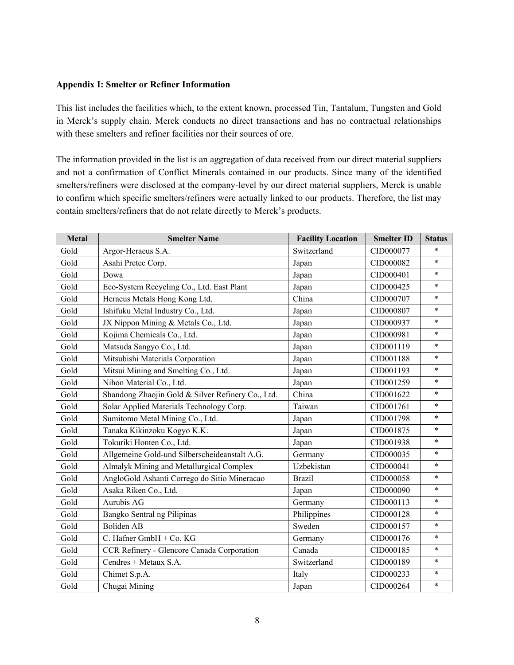#### **Appendix I: Smelter or Refiner Information**

This list includes the facilities which, to the extent known, processed Tin, Tantalum, Tungsten and Gold in Merck's supply chain. Merck conducts no direct transactions and has no contractual relationships with these smelters and refiner facilities nor their sources of ore.

The information provided in the list is an aggregation of data received from our direct material suppliers and not a confirmation of Conflict Minerals contained in our products. Since many of the identified smelters/refiners were disclosed at the company-level by our direct material suppliers, Merck is unable to confirm which specific smelters/refiners were actually linked to our products. Therefore, the list may contain smelters/refiners that do not relate directly to Merck's products.

| <b>Metal</b> | <b>Smelter Name</b>                               | <b>Facility Location</b> | <b>Smelter ID</b> | <b>Status</b> |
|--------------|---------------------------------------------------|--------------------------|-------------------|---------------|
| Gold         | Argor-Heraeus S.A.                                | Switzerland              | CID000077         | $\ast$        |
| Gold         | Asahi Pretec Corp.                                | Japan                    | CID000082         | $\ast$        |
| Gold         | Dowa                                              | Japan                    | CID000401         | $\ast$        |
| Gold         | Eco-System Recycling Co., Ltd. East Plant         | Japan                    | CID000425         | $\ast$        |
| Gold         | Heraeus Metals Hong Kong Ltd.                     | China                    | CID000707         | $\ast$        |
| Gold         | Ishifuku Metal Industry Co., Ltd.                 | Japan                    | CID000807         | $\ast$        |
| Gold         | JX Nippon Mining & Metals Co., Ltd.               | Japan                    | CID000937         | $\ast$        |
| Gold         | Kojima Chemicals Co., Ltd.                        | Japan                    | CID000981         | $\ast$        |
| Gold         | Matsuda Sangyo Co., Ltd.                          | Japan                    | CID001119         | $\ast$        |
| Gold         | Mitsubishi Materials Corporation                  | Japan                    | CID001188         | $\ast$        |
| Gold         | Mitsui Mining and Smelting Co., Ltd.              | Japan                    | CID001193         | $\ast$        |
| Gold         | Nihon Material Co., Ltd.                          | Japan                    | CID001259         | $\ast$        |
| Gold         | Shandong Zhaojin Gold & Silver Refinery Co., Ltd. | China                    | CID001622         | $\ast$        |
| Gold         | Solar Applied Materials Technology Corp.          | Taiwan                   | CID001761         | $\ast$        |
| Gold         | Sumitomo Metal Mining Co., Ltd.                   | Japan                    | CID001798         | $\ast$        |
| Gold         | Tanaka Kikinzoku Kogyo K.K.                       | Japan                    | CID001875         | $\ast$        |
| Gold         | Tokuriki Honten Co., Ltd.                         | Japan                    | CID001938         | $\ast$        |
| Gold         | Allgemeine Gold-und Silberscheideanstalt A.G.     | Germany                  | CID000035         | $\ast$        |
| Gold         | Almalyk Mining and Metallurgical Complex          | Uzbekistan               | CID000041         | $\ast$        |
| Gold         | AngloGold Ashanti Corrego do Sitio Mineracao      | <b>Brazil</b>            | CID000058         | $\ast$        |
| Gold         | Asaka Riken Co., Ltd.                             | Japan                    | CID000090         | $\ast$        |
| Gold         | Aurubis AG                                        | Germany                  | CID000113         | $\ast$        |
| Gold         | Bangko Sentral ng Pilipinas                       | Philippines              | CID000128         | $\ast$        |
| Gold         | <b>Boliden AB</b>                                 | Sweden                   | CID000157         | $\ast$        |
| Gold         | C. Hafner GmbH + Co. KG                           | Germany                  | CID000176         | $\ast$        |
| Gold         | CCR Refinery - Glencore Canada Corporation        | Canada                   | CID000185         | $\ast$        |
| Gold         | Cendres + Metaux S.A.                             | Switzerland              | CID000189         | $\ast$        |
| Gold         | Chimet S.p.A.                                     | Italy                    | CID000233         | $\ast$        |
| Gold         | Chugai Mining                                     | Japan                    | CID000264         | $\ast$        |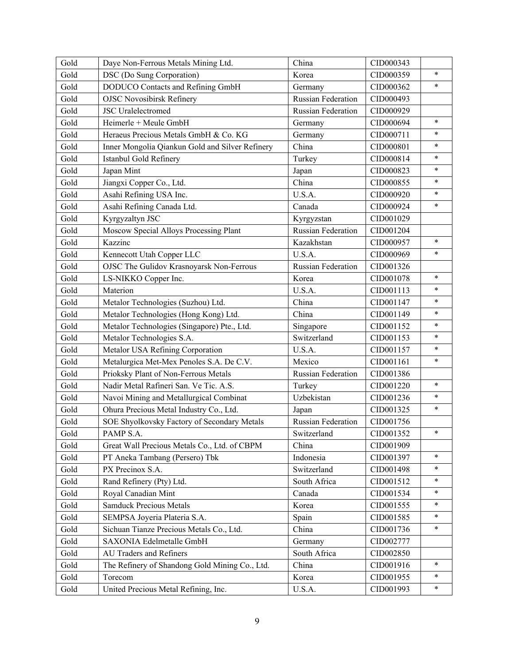| Gold | Daye Non-Ferrous Metals Mining Ltd.             | China                     | CID000343 |        |
|------|-------------------------------------------------|---------------------------|-----------|--------|
| Gold | DSC (Do Sung Corporation)                       | Korea                     | CID000359 | $\ast$ |
| Gold | DODUCO Contacts and Refining GmbH               | Germany                   | CID000362 | $\ast$ |
| Gold | <b>OJSC Novosibirsk Refinery</b>                | <b>Russian Federation</b> | CID000493 |        |
| Gold | <b>JSC</b> Uralelectromed                       | Russian Federation        | CID000929 |        |
| Gold | Heimerle + Meule GmbH                           | Germany                   | CID000694 | $\ast$ |
| Gold | Heraeus Precious Metals GmbH & Co. KG           | Germany                   | CID000711 | $\ast$ |
| Gold | Inner Mongolia Qiankun Gold and Silver Refinery | China                     | CID000801 | $\ast$ |
| Gold | Istanbul Gold Refinery                          | Turkey                    | CID000814 | $\ast$ |
| Gold | Japan Mint                                      | Japan                     | CID000823 | $\ast$ |
| Gold | Jiangxi Copper Co., Ltd.                        | China                     | CID000855 | $\ast$ |
| Gold | Asahi Refining USA Inc.                         | U.S.A.                    | CID000920 | $\ast$ |
| Gold | Asahi Refining Canada Ltd.                      | Canada                    | CID000924 | $\ast$ |
| Gold | Kyrgyzaltyn JSC                                 | Kyrgyzstan                | CID001029 |        |
| Gold | Moscow Special Alloys Processing Plant          | <b>Russian Federation</b> | CID001204 |        |
| Gold | Kazzinc                                         | Kazakhstan                | CID000957 | $\ast$ |
| Gold | Kennecott Utah Copper LLC                       | U.S.A.                    | CID000969 | $\ast$ |
| Gold | OJSC The Gulidov Krasnoyarsk Non-Ferrous        | <b>Russian Federation</b> | CID001326 |        |
| Gold | LS-NIKKO Copper Inc.                            | Korea                     | CID001078 | $\ast$ |
| Gold | Materion                                        | U.S.A.                    | CID001113 | $\ast$ |
| Gold | Metalor Technologies (Suzhou) Ltd.              | China                     | CID001147 | $\ast$ |
| Gold | Metalor Technologies (Hong Kong) Ltd.           | China                     | CID001149 | $\ast$ |
| Gold | Metalor Technologies (Singapore) Pte., Ltd.     | Singapore                 | CID001152 | $\ast$ |
| Gold | Metalor Technologies S.A.                       | Switzerland               | CID001153 | $\ast$ |
| Gold | Metalor USA Refining Corporation                | U.S.A.                    | CID001157 | $\ast$ |
| Gold | Metalurgica Met-Mex Penoles S.A. De C.V.        | Mexico                    | CID001161 | $\ast$ |
| Gold | Prioksky Plant of Non-Ferrous Metals            | Russian Federation        | CID001386 |        |
| Gold | Nadir Metal Rafineri San. Ve Tic. A.S.          | Turkey                    | CID001220 | $\ast$ |
| Gold | Navoi Mining and Metallurgical Combinat         | Uzbekistan                | CID001236 | $\ast$ |
| Gold | Ohura Precious Metal Industry Co., Ltd.         | Japan                     | CID001325 | $\ast$ |
| Gold | SOE Shyolkovsky Factory of Secondary Metals     | Russian Federation        | CID001756 |        |
| Gold | PAMP S.A.                                       | Switzerland               | CID001352 | $\ast$ |
| Gold | Great Wall Precious Metals Co., Ltd. of CBPM    | China                     | CID001909 |        |
| Gold | PT Aneka Tambang (Persero) Tbk                  | Indonesia                 | CID001397 | $\ast$ |
| Gold | PX Precinox S.A.                                | Switzerland               | CID001498 | $\ast$ |
| Gold | Rand Refinery (Pty) Ltd.                        | South Africa              | CID001512 | *      |
| Gold | Royal Canadian Mint                             | Canada                    | CID001534 | $\ast$ |
| Gold | <b>Samduck Precious Metals</b>                  | Korea                     | CID001555 | $\ast$ |
| Gold | SEMPSA Joyeria Plateria S.A.                    | Spain                     | CID001585 | $\ast$ |
| Gold | Sichuan Tianze Precious Metals Co., Ltd.        | China                     | CID001736 | $\ast$ |
| Gold | SAXONIA Edelmetalle GmbH                        | Germany                   | CID002777 |        |
| Gold | AU Traders and Refiners                         | South Africa              | CID002850 |        |
| Gold | The Refinery of Shandong Gold Mining Co., Ltd.  | China                     | CID001916 | $\ast$ |
| Gold | Torecom                                         | Korea                     | CID001955 | *      |
| Gold | United Precious Metal Refining, Inc.            | U.S.A.                    | CID001993 | $\ast$ |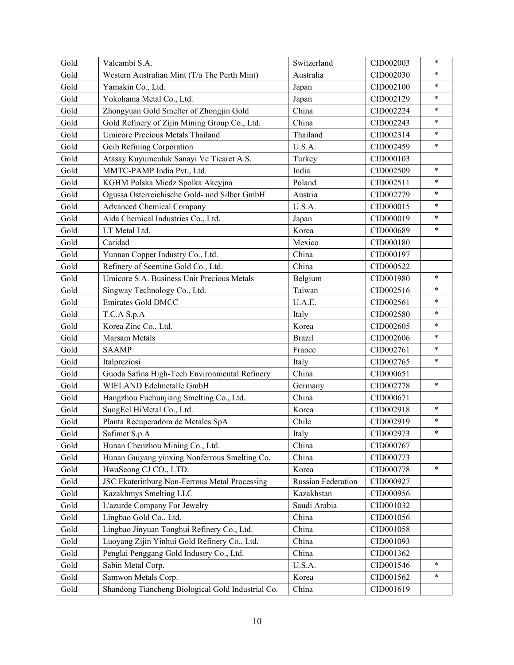| Gold | Valcambi S.A.                                     | Switzerland        | CID002003 | $\ast$ |
|------|---------------------------------------------------|--------------------|-----------|--------|
| Gold | Western Australian Mint (T/a The Perth Mint)      | Australia          | CID002030 | $\ast$ |
| Gold | Yamakin Co., Ltd.                                 | Japan              | CID002100 | $\ast$ |
| Gold | Yokohama Metal Co., Ltd.                          | Japan              | CID002129 | $\ast$ |
| Gold | Zhongyuan Gold Smelter of Zhongjin Gold           | China              | CID002224 | $\ast$ |
| Gold | Gold Refinery of Zijin Mining Group Co., Ltd.     | China              | CID002243 | $\ast$ |
| Gold | Umicore Precious Metals Thailand                  | Thailand           | CID002314 | $\ast$ |
| Gold | Geib Refining Corporation                         | U.S.A.             | CID002459 | $\ast$ |
| Gold | Atasay Kuyumculuk Sanayi Ve Ticaret A.S.          | Turkey             | CID000103 |        |
| Gold | MMTC-PAMP India Pvt., Ltd.                        | India              | CID002509 | $\ast$ |
| Gold | KGHM Polska Miedz Spolka Akcyjna                  | Poland             | CID002511 | $\ast$ |
| Gold | Ogussa Osterreichische Gold- und Silber GmbH      | Austria            | CID002779 | $\ast$ |
| Gold | <b>Advanced Chemical Company</b>                  | U.S.A.             | CID000015 | $\ast$ |
| Gold | Aida Chemical Industries Co., Ltd.                | Japan              | CID000019 | $\ast$ |
| Gold | LT Metal Ltd.                                     | Korea              | CID000689 | $\ast$ |
| Gold | Caridad                                           | Mexico             | CID000180 |        |
| Gold | Yunnan Copper Industry Co., Ltd.                  | China              | CID000197 |        |
| Gold | Refinery of Seemine Gold Co., Ltd.                | China              | CID000522 |        |
| Gold | Umicore S.A. Business Unit Precious Metals        | Belgium            | CID001980 | $\ast$ |
| Gold | Singway Technology Co., Ltd.                      | Taiwan             | CID002516 | $\ast$ |
| Gold | Emirates Gold DMCC                                | U.A.E.             | CID002561 | $\ast$ |
| Gold | T.C.A S.p.A                                       | Italy              | CID002580 | $\ast$ |
| Gold | Korea Zinc Co., Ltd.                              | Korea              | CID002605 | $\ast$ |
| Gold | Marsam Metals                                     | <b>Brazil</b>      | CID002606 | $\ast$ |
| Gold | <b>SAAMP</b>                                      | France             | CID002761 | $\ast$ |
| Gold | Italpreziosi                                      | Italy              | CID002765 | $\ast$ |
| Gold | Guoda Safina High-Tech Environmental Refinery     | China              | CID000651 |        |
| Gold | WIELAND Edelmetalle GmbH                          | Germany            | CID002778 | $\ast$ |
| Gold | Hangzhou Fuchunjiang Smelting Co., Ltd.           | China              | CID000671 |        |
| Gold | SungEel HiMetal Co., Ltd.                         | Korea              | CID002918 | $\ast$ |
| Gold | Planta Recuperadora de Metales SpA                | Chile              | CID002919 | $\ast$ |
| Gold | Safimet S.p.A                                     | Italy              | CID002973 | $\ast$ |
| Gold | Hunan Chenzhou Mining Co., Ltd.                   | China              | CID000767 |        |
| Gold | Hunan Guiyang yinxing Nonferrous Smelting Co.     | China              | CID000773 |        |
| Gold | HwaSeong CJ CO., LTD.                             | Korea              | CID000778 | $\ast$ |
| Gold | JSC Ekaterinburg Non-Ferrous Metal Processing     | Russian Federation | CID000927 |        |
| Gold | Kazakhmys Smelting LLC                            | Kazakhstan         | CID000956 |        |
| Gold | L'azurde Company For Jewelry                      | Saudi Arabia       | CID001032 |        |
| Gold | Lingbao Gold Co., Ltd.                            | China              | CID001056 |        |
| Gold | Lingbao Jinyuan Tonghui Refinery Co., Ltd.        | China              | CID001058 |        |
| Gold | Luoyang Zijin Yinhui Gold Refinery Co., Ltd.      | China              | CID001093 |        |
| Gold | Penglai Penggang Gold Industry Co., Ltd.          | China              | CID001362 |        |
| Gold | Sabin Metal Corp.                                 | U.S.A.             | CID001546 | $\ast$ |
| Gold | Samwon Metals Corp.                               | Korea              | CID001562 | *      |
| Gold | Shandong Tiancheng Biological Gold Industrial Co. | China              | CID001619 |        |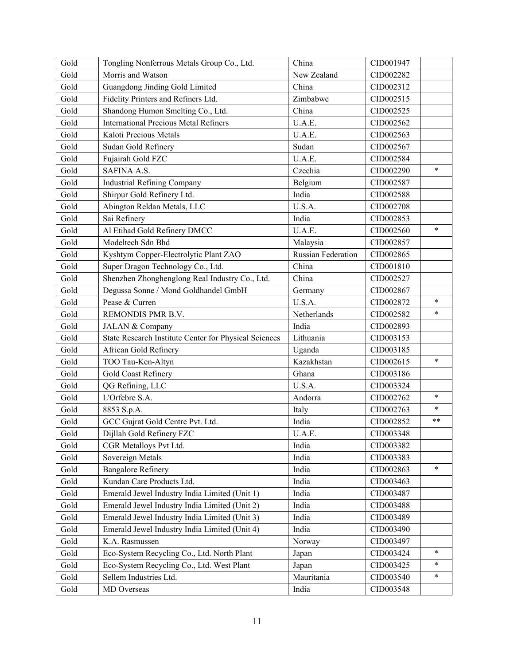| Gold | Tongling Nonferrous Metals Group Co., Ltd.            | China              | CID001947 |        |
|------|-------------------------------------------------------|--------------------|-----------|--------|
| Gold | Morris and Watson                                     | New Zealand        | CID002282 |        |
| Gold | Guangdong Jinding Gold Limited                        | China              | CID002312 |        |
| Gold | Fidelity Printers and Refiners Ltd.                   | Zimbabwe           | CID002515 |        |
| Gold | Shandong Humon Smelting Co., Ltd.                     | China              | CID002525 |        |
| Gold | <b>International Precious Metal Refiners</b>          | U.A.E.             | CID002562 |        |
| Gold | Kaloti Precious Metals                                | U.A.E.             | CID002563 |        |
| Gold | Sudan Gold Refinery                                   | Sudan              | CID002567 |        |
| Gold | Fujairah Gold FZC                                     | U.A.E.             | CID002584 |        |
| Gold | <b>SAFINA A.S.</b>                                    | Czechia            | CID002290 | $\ast$ |
| Gold | <b>Industrial Refining Company</b>                    | Belgium            | CID002587 |        |
| Gold | Shirpur Gold Refinery Ltd.                            | India              | CID002588 |        |
| Gold | Abington Reldan Metals, LLC                           | U.S.A.             | CID002708 |        |
| Gold | Sai Refinery                                          | India              | CID002853 |        |
| Gold | Al Etihad Gold Refinery DMCC                          | U.A.E.             | CID002560 | $\ast$ |
| Gold | Modeltech Sdn Bhd                                     | Malaysia           | CID002857 |        |
| Gold | Kyshtym Copper-Electrolytic Plant ZAO                 | Russian Federation | CID002865 |        |
| Gold | Super Dragon Technology Co., Ltd.                     | China              | CID001810 |        |
| Gold | Shenzhen Zhonghenglong Real Industry Co., Ltd.        | China              | CID002527 |        |
| Gold | Degussa Sonne / Mond Goldhandel GmbH                  | Germany            | CID002867 |        |
| Gold | Pease & Curren                                        | U.S.A.             | CID002872 | $\ast$ |
| Gold | REMONDIS PMR B.V.                                     | Netherlands        | CID002582 | $\ast$ |
| Gold | JALAN & Company                                       | India              | CID002893 |        |
| Gold | State Research Institute Center for Physical Sciences | Lithuania          | CID003153 |        |
| Gold | African Gold Refinery                                 | Uganda             | CID003185 |        |
| Gold | TOO Tau-Ken-Altyn                                     | Kazakhstan         | CID002615 | $\ast$ |
| Gold | Gold Coast Refinery                                   | Ghana              | CID003186 |        |
| Gold | QG Refining, LLC                                      | U.S.A.             | CID003324 |        |
| Gold | L'Orfebre S.A.                                        | Andorra            | CID002762 | $\ast$ |
| Gold | 8853 S.p.A.                                           | Italy              | CID002763 | $\ast$ |
| Gold | GCC Gujrat Gold Centre Pvt. Ltd.                      | India              | CID002852 | $***$  |
| Gold | Dijllah Gold Refinery FZC                             | U.A.E.             | CID003348 |        |
| Gold | CGR Metalloys Pvt Ltd.                                | India              | CID003382 |        |
| Gold | Sovereign Metals                                      | India              | CID003383 |        |
| Gold | <b>Bangalore Refinery</b>                             | India              | CID002863 | $\ast$ |
| Gold | Kundan Care Products Ltd.                             | India              | CID003463 |        |
| Gold | Emerald Jewel Industry India Limited (Unit 1)         | India              | CID003487 |        |
| Gold | Emerald Jewel Industry India Limited (Unit 2)         | India              | CID003488 |        |
| Gold | Emerald Jewel Industry India Limited (Unit 3)         | India              | CID003489 |        |
| Gold | Emerald Jewel Industry India Limited (Unit 4)         | India              | CID003490 |        |
| Gold | K.A. Rasmussen                                        | Norway             | CID003497 |        |
| Gold | Eco-System Recycling Co., Ltd. North Plant            | Japan              | CID003424 | $\ast$ |
| Gold | Eco-System Recycling Co., Ltd. West Plant             | Japan              | CID003425 | $\ast$ |
| Gold | Sellem Industries Ltd.                                | Mauritania         | CID003540 | $\ast$ |
| Gold | MD Overseas                                           | India              | CID003548 |        |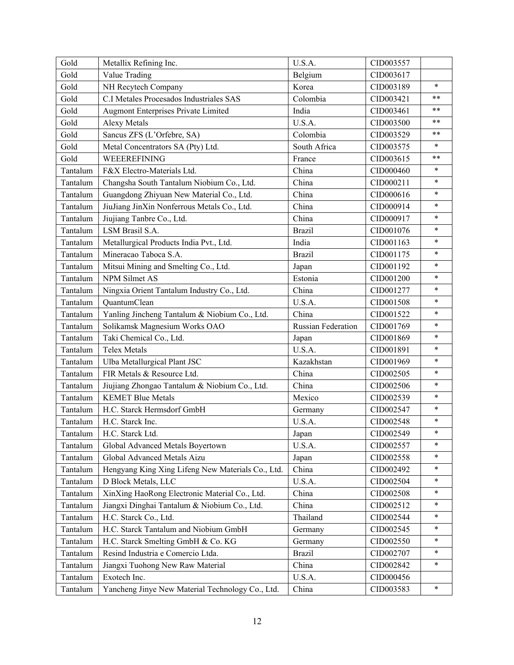| Gold     | Metallix Refining Inc.                            | U.S.A.                    | CID003557 |            |
|----------|---------------------------------------------------|---------------------------|-----------|------------|
| Gold     | Value Trading                                     | Belgium                   | CID003617 |            |
| Gold     | NH Recytech Company                               | Korea                     | CID003189 | $\ast$     |
| Gold     | C.I Metales Procesados Industriales SAS           | Colombia                  | CID003421 | $***$      |
| Gold     | <b>Augmont Enterprises Private Limited</b>        | India                     | CID003461 | $***$      |
| Gold     | <b>Alexy Metals</b>                               | U.S.A.                    | CID003500 | $\ast\ast$ |
| Gold     | Sancus ZFS (L'Orfebre, SA)                        | Colombia                  | CID003529 | $***$      |
| Gold     | Metal Concentrators SA (Pty) Ltd.                 | South Africa              | CID003575 | $\ast$     |
| Gold     | WEEEREFINING                                      | France                    | CID003615 | $***$      |
| Tantalum | F&X Electro-Materials Ltd.                        | China                     | CID000460 | $\ast$     |
| Tantalum | Changsha South Tantalum Niobium Co., Ltd.         | China                     | CID000211 | $\ast$     |
| Tantalum | Guangdong Zhiyuan New Material Co., Ltd.          | China                     | CID000616 | $\ast$     |
| Tantalum | JiuJiang JinXin Nonferrous Metals Co., Ltd.       | China                     | CID000914 | $\ast$     |
| Tantalum | Jiujiang Tanbre Co., Ltd.                         | China                     | CID000917 | $\ast$     |
| Tantalum | LSM Brasil S.A.                                   | <b>Brazil</b>             | CID001076 | $\ast$     |
| Tantalum | Metallurgical Products India Pvt., Ltd.           | India                     | CID001163 | $\ast$     |
| Tantalum | Mineracao Taboca S.A.                             | <b>Brazil</b>             | CID001175 | $\ast$     |
| Tantalum | Mitsui Mining and Smelting Co., Ltd.              | Japan                     | CID001192 | $\ast$     |
| Tantalum | <b>NPM Silmet AS</b>                              | Estonia                   | CID001200 | $\ast$     |
| Tantalum | Ningxia Orient Tantalum Industry Co., Ltd.        | China                     | CID001277 | $\ast$     |
| Tantalum | QuantumClean                                      | U.S.A.                    | CID001508 | $\ast$     |
| Tantalum | Yanling Jincheng Tantalum & Niobium Co., Ltd.     | China                     | CID001522 | $\ast$     |
| Tantalum | Solikamsk Magnesium Works OAO                     | <b>Russian Federation</b> | CID001769 | $\ast$     |
| Tantalum | Taki Chemical Co., Ltd.                           | Japan                     | CID001869 | $\ast$     |
| Tantalum | <b>Telex Metals</b>                               | U.S.A.                    | CID001891 | $\ast$     |
| Tantalum | Ulba Metallurgical Plant JSC                      | Kazakhstan                | CID001969 | $\ast$     |
| Tantalum | FIR Metals & Resource Ltd.                        | China                     | CID002505 | $\ast$     |
| Tantalum | Jiujiang Zhongao Tantalum & Niobium Co., Ltd.     | China                     | CID002506 | $\ast$     |
| Tantalum | <b>KEMET Blue Metals</b>                          | Mexico                    | CID002539 | $\ast$     |
| Tantalum | H.C. Starck Hermsdorf GmbH                        | Germany                   | CID002547 | $\ast$     |
| Tantalum | H.C. Starck Inc.                                  | U.S.A.                    | CID002548 | $\ast$     |
| Tantalum | H.C. Starck Ltd.                                  | Japan                     | CID002549 | $\ast$     |
| Tantalum | Global Advanced Metals Boyertown                  | U.S.A.                    | CID002557 | $\ast$     |
| Tantalum | Global Advanced Metals Aizu                       | Japan                     | CID002558 | $\ast$     |
| Tantalum | Hengyang King Xing Lifeng New Materials Co., Ltd. | China                     | CID002492 | $\ast$     |
| Tantalum | D Block Metals, LLC                               | U.S.A.                    | CID002504 | $\ast$     |
| Tantalum | XinXing HaoRong Electronic Material Co., Ltd.     | China                     | CID002508 | ∗          |
| Tantalum | Jiangxi Dinghai Tantalum & Niobium Co., Ltd.      | China                     | CID002512 | $\ast$     |
| Tantalum | H.C. Starck Co., Ltd.                             | Thailand                  | CID002544 | $\ast$     |
| Tantalum | H.C. Starck Tantalum and Niobium GmbH             | Germany                   | CID002545 | $\ast$     |
| Tantalum | H.C. Starck Smelting GmbH & Co. KG                | Germany                   | CID002550 | *          |
| Tantalum | Resind Industria e Comercio Ltda.                 | <b>Brazil</b>             | CID002707 | $\ast$     |
| Tantalum | Jiangxi Tuohong New Raw Material                  | China                     | CID002842 | $\ast$     |
| Tantalum | Exotech Inc.                                      | U.S.A.                    | CID000456 |            |
| Tantalum | Yancheng Jinye New Material Technology Co., Ltd.  | China                     | CID003583 | $\ast$     |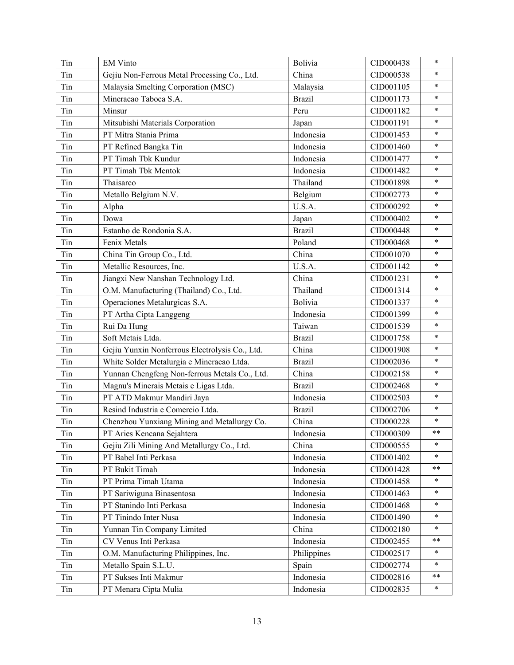| Tin | <b>EM Vinto</b>                                | Bolivia       | CID000438 | $\ast$     |
|-----|------------------------------------------------|---------------|-----------|------------|
| Tin | Gejiu Non-Ferrous Metal Processing Co., Ltd.   | China         | CID000538 | $\ast$     |
| Tin | Malaysia Smelting Corporation (MSC)            | Malaysia      | CID001105 | $\ast$     |
| Tin | Mineracao Taboca S.A.                          | <b>Brazil</b> | CID001173 | $\ast$     |
| Tin | Minsur                                         | Peru          | CID001182 | $\ast$     |
| Tin | Mitsubishi Materials Corporation               | Japan         | CID001191 | $\ast$     |
| Tin | PT Mitra Stania Prima                          | Indonesia     | CID001453 | $\ast$     |
| Tin | PT Refined Bangka Tin                          | Indonesia     | CID001460 | $\ast$     |
| Tin | PT Timah Tbk Kundur                            | Indonesia     | CID001477 | $\ast$     |
| Tin | PT Timah Tbk Mentok                            | Indonesia     | CID001482 | $\ast$     |
| Tin | Thaisarco                                      | Thailand      | CID001898 | $\ast$     |
| Tin | Metallo Belgium N.V.                           | Belgium       | CID002773 | $\ast$     |
| Tin | Alpha                                          | U.S.A.        | CID000292 | $\ast$     |
| Tin | Dowa                                           | Japan         | CID000402 | $\ast$     |
| Tin | Estanho de Rondonia S.A.                       | <b>Brazil</b> | CID000448 | $\ast$     |
| Tin | Fenix Metals                                   | Poland        | CID000468 | $\ast$     |
| Tin | China Tin Group Co., Ltd.                      | China         | CID001070 | $\ast$     |
| Tin | Metallic Resources, Inc.                       | U.S.A.        | CID001142 | $\ast$     |
| Tin | Jiangxi New Nanshan Technology Ltd.            | China         | CID001231 | $\ast$     |
| Tin | O.M. Manufacturing (Thailand) Co., Ltd.        | Thailand      | CID001314 | $\ast$     |
| Tin | Operaciones Metalurgicas S.A.                  | Bolivia       | CID001337 | $\ast$     |
| Tin | PT Artha Cipta Langgeng                        | Indonesia     | CID001399 | $\ast$     |
| Tin | Rui Da Hung                                    | Taiwan        | CID001539 | $\ast$     |
| Tin | Soft Metais Ltda.                              | <b>Brazil</b> | CID001758 | $\ast$     |
| Tin | Gejiu Yunxin Nonferrous Electrolysis Co., Ltd. | China         | CID001908 | $\ast$     |
| Tin | White Solder Metalurgia e Mineracao Ltda.      | <b>Brazil</b> | CID002036 | $\ast$     |
| Tin | Yunnan Chengfeng Non-ferrous Metals Co., Ltd.  | China         | CID002158 | $\ast$     |
| Tin | Magnu's Minerais Metais e Ligas Ltda.          | <b>Brazil</b> | CID002468 | $\ast$     |
| Tin | PT ATD Makmur Mandiri Jaya                     | Indonesia     | CID002503 | $\ast$     |
| Tin | Resind Industria e Comercio Ltda.              | <b>Brazil</b> | CID002706 | $\ast$     |
| Tin | Chenzhou Yunxiang Mining and Metallurgy Co.    | China         | CID000228 | $\ast$     |
| Tin | PT Aries Kencana Sejahtera                     | Indonesia     | CID000309 | $* *$      |
| Tin | Gejiu Zili Mining And Metallurgy Co., Ltd.     | China         | CID000555 | $\ast$     |
| Tin | PT Babel Inti Perkasa                          | Indonesia     | CID001402 | $\ast$     |
| Tin | PT Bukit Timah                                 | Indonesia     | CID001428 | $\ast\ast$ |
| Tin | PT Prima Timah Utama                           | Indonesia     | CID001458 | *          |
| Tin | PT Sariwiguna Binasentosa                      | Indonesia     | CID001463 | $\ast$     |
| Tin | PT Stanindo Inti Perkasa                       | Indonesia     | CID001468 | *          |
| Tin | PT Tinindo Inter Nusa                          | Indonesia     | CID001490 | $\ast$     |
| Tin | Yunnan Tin Company Limited                     | China         | CID002180 | $\ast$     |
| Tin | CV Venus Inti Perkasa                          | Indonesia     | CID002455 | $***$      |
| Tin | O.M. Manufacturing Philippines, Inc.           | Philippines   | CID002517 | $\ast$     |
| Tin | Metallo Spain S.L.U.                           | Spain         | CID002774 | $\ast$     |
| Tin | PT Sukses Inti Makmur                          | Indonesia     | CID002816 | $* *$      |
| Tin | PT Menara Cipta Mulia                          | Indonesia     | CID002835 | $\ast$     |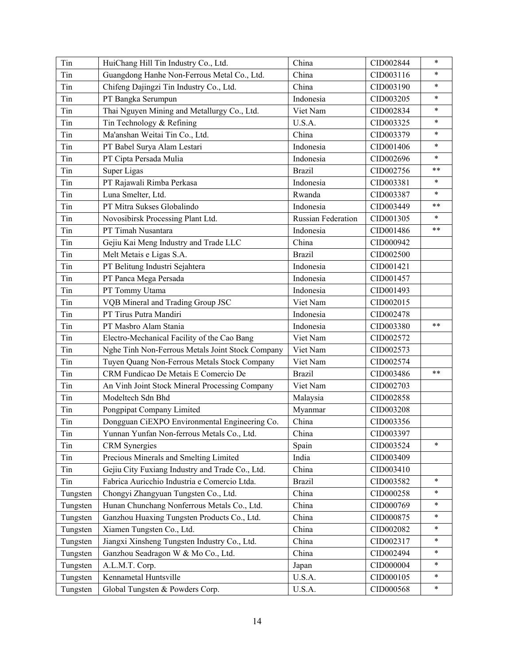| Tin      | HuiChang Hill Tin Industry Co., Ltd.             | China                     | CID002844 | $\ast$ |
|----------|--------------------------------------------------|---------------------------|-----------|--------|
| Tin      | Guangdong Hanhe Non-Ferrous Metal Co., Ltd.      | China                     | CID003116 | $\ast$ |
| Tin      | Chifeng Dajingzi Tin Industry Co., Ltd.          | China                     | CID003190 | $\ast$ |
| Tin      | PT Bangka Serumpun                               | Indonesia                 | CID003205 | $\ast$ |
| Tin      | Thai Nguyen Mining and Metallurgy Co., Ltd.      | Viet Nam                  | CID002834 | $\ast$ |
| Tin      | Tin Technology & Refining                        | U.S.A.                    | CID003325 | $\ast$ |
| Tin      | Ma'anshan Weitai Tin Co., Ltd.                   | China                     | CID003379 | $\ast$ |
| Tin      | PT Babel Surya Alam Lestari                      | Indonesia                 | CID001406 | $\ast$ |
| Tin      | PT Cipta Persada Mulia                           | Indonesia                 | CID002696 | $\ast$ |
| Tin      | Super Ligas                                      | <b>Brazil</b>             | CID002756 | $* *$  |
| Tin      | PT Rajawali Rimba Perkasa                        | Indonesia                 | CID003381 | $\ast$ |
| Tin      | Luna Smelter, Ltd.                               | Rwanda                    | CID003387 | $\ast$ |
| Tin      | PT Mitra Sukses Globalindo                       | Indonesia                 | CID003449 | $***$  |
| Tin      | Novosibirsk Processing Plant Ltd.                | <b>Russian Federation</b> | CID001305 | $\ast$ |
| Tin      | PT Timah Nusantara                               | Indonesia                 | CID001486 | $***$  |
| Tin      | Gejiu Kai Meng Industry and Trade LLC            | China                     | CID000942 |        |
| Tin      | Melt Metais e Ligas S.A.                         | <b>Brazil</b>             | CID002500 |        |
| Tin      | PT Belitung Industri Sejahtera                   | Indonesia                 | CID001421 |        |
| Tin      | PT Panca Mega Persada                            | Indonesia                 | CID001457 |        |
| Tin      | PT Tommy Utama                                   | Indonesia                 | CID001493 |        |
| Tin      | VQB Mineral and Trading Group JSC                | Viet Nam                  | CID002015 |        |
| Tin      | PT Tirus Putra Mandiri                           | Indonesia                 | CID002478 |        |
| Tin      | PT Masbro Alam Stania                            | Indonesia                 | CID003380 | $* *$  |
| Tin      | Electro-Mechanical Facility of the Cao Bang      | Viet Nam                  | CID002572 |        |
| Tin      | Nghe Tinh Non-Ferrous Metals Joint Stock Company | Viet Nam                  | CID002573 |        |
| Tin      | Tuyen Quang Non-Ferrous Metals Stock Company     | Viet Nam                  | CID002574 |        |
| Tin      | CRM Fundicao De Metais E Comercio De             | <b>Brazil</b>             | CID003486 | $* *$  |
| Tin      | An Vinh Joint Stock Mineral Processing Company   | Viet Nam                  | CID002703 |        |
| Tin      | Modeltech Sdn Bhd                                | Malaysia                  | CID002858 |        |
| Tin      | Pongpipat Company Limited                        | Myanmar                   | CID003208 |        |
| Tin      | Dongguan CiEXPO Environmental Engineering Co.    | China                     | CID003356 |        |
| Tin      | Yunnan Yunfan Non-ferrous Metals Co., Ltd.       | China                     | CID003397 |        |
| Tin      | <b>CRM</b> Synergies                             | Spain                     | CID003524 | $\ast$ |
| Tin      | Precious Minerals and Smelting Limited           | India                     | CID003409 |        |
| Tin      | Gejiu City Fuxiang Industry and Trade Co., Ltd.  | China                     | CID003410 |        |
| Tin      | Fabrica Auricchio Industria e Comercio Ltda.     | <b>Brazil</b>             | CID003582 | $\ast$ |
| Tungsten | Chongyi Zhangyuan Tungsten Co., Ltd.             | China                     | CID000258 | $\ast$ |
| Tungsten | Hunan Chunchang Nonferrous Metals Co., Ltd.      | China                     | CID000769 | $\ast$ |
| Tungsten | Ganzhou Huaxing Tungsten Products Co., Ltd.      | China                     | CID000875 | $\ast$ |
| Tungsten | Xiamen Tungsten Co., Ltd.                        | China                     | CID002082 | $\ast$ |
| Tungsten | Jiangxi Xinsheng Tungsten Industry Co., Ltd.     | China                     | CID002317 | ∗      |
| Tungsten | Ganzhou Seadragon W & Mo Co., Ltd.               | China                     | CID002494 | $\ast$ |
| Tungsten | A.L.M.T. Corp.                                   | Japan                     | CID000004 | $\ast$ |
| Tungsten | Kennametal Huntsville                            | U.S.A.                    | CID000105 | $\ast$ |
| Tungsten | Global Tungsten & Powders Corp.                  | U.S.A.                    | CID000568 | *      |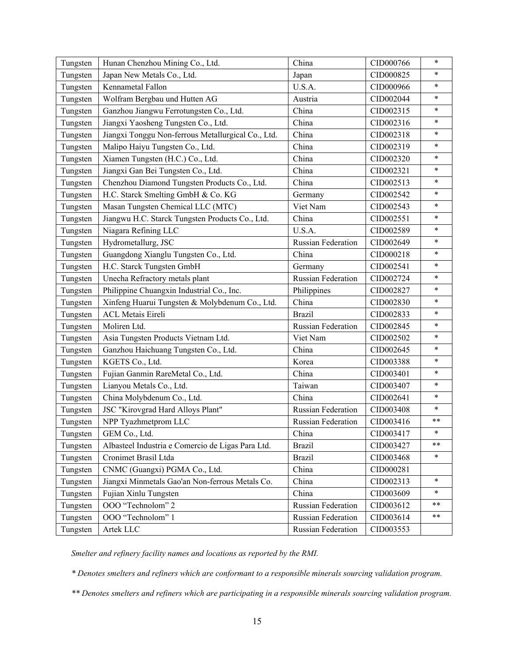| Tungsten | Hunan Chenzhou Mining Co., Ltd.                    | China                     | CID000766 | $\ast$     |
|----------|----------------------------------------------------|---------------------------|-----------|------------|
| Tungsten | Japan New Metals Co., Ltd.                         | Japan                     | CID000825 | $\ast$     |
| Tungsten | Kennametal Fallon                                  | U.S.A.                    | CID000966 | $\ast$     |
| Tungsten | Wolfram Bergbau und Hutten AG                      | Austria                   | CID002044 | $\ast$     |
| Tungsten | Ganzhou Jiangwu Ferrotungsten Co., Ltd.            | China                     | CID002315 | $\ast$     |
| Tungsten | Jiangxi Yaosheng Tungsten Co., Ltd.                | China                     | CID002316 | $\ast$     |
| Tungsten | Jiangxi Tonggu Non-ferrous Metallurgical Co., Ltd. | China                     | CID002318 | $\ast$     |
| Tungsten | Malipo Haiyu Tungsten Co., Ltd.                    | China                     | CID002319 | $\ast$     |
| Tungsten | Xiamen Tungsten (H.C.) Co., Ltd.                   | China                     | CID002320 | $\ast$     |
| Tungsten | Jiangxi Gan Bei Tungsten Co., Ltd.                 | China                     | CID002321 | $\ast$     |
| Tungsten | Chenzhou Diamond Tungsten Products Co., Ltd.       | China                     | CID002513 | $\ast$     |
| Tungsten | H.C. Starck Smelting GmbH & Co. KG                 | Germany                   | CID002542 | $\ast$     |
| Tungsten | Masan Tungsten Chemical LLC (MTC)                  | Viet Nam                  | CID002543 | $\ast$     |
| Tungsten | Jiangwu H.C. Starck Tungsten Products Co., Ltd.    | China                     | CID002551 | $\ast$     |
| Tungsten | Niagara Refining LLC                               | U.S.A.                    | CID002589 | $\ast$     |
| Tungsten | Hydrometallurg, JSC                                | Russian Federation        | CID002649 | $\ast$     |
| Tungsten | Guangdong Xianglu Tungsten Co., Ltd.               | China                     | CID000218 | $\ast$     |
| Tungsten | H.C. Starck Tungsten GmbH                          | Germany                   | CID002541 | $\ast$     |
| Tungsten | Unecha Refractory metals plant                     | <b>Russian Federation</b> | CID002724 | $\ast$     |
| Tungsten | Philippine Chuangxin Industrial Co., Inc.          | Philippines               | CID002827 | $\ast$     |
| Tungsten | Xinfeng Huarui Tungsten & Molybdenum Co., Ltd.     | China                     | CID002830 | $\ast$     |
| Tungsten | <b>ACL Metais Eireli</b>                           | <b>Brazil</b>             | CID002833 | $\ast$     |
| Tungsten | Moliren Ltd.                                       | Russian Federation        | CID002845 | $\ast$     |
| Tungsten | Asia Tungsten Products Vietnam Ltd.                | Viet Nam                  | CID002502 | $\ast$     |
| Tungsten | Ganzhou Haichuang Tungsten Co., Ltd.               | China                     | CID002645 | $\ast$     |
| Tungsten | KGETS Co., Ltd.                                    | Korea                     | CID003388 | $\ast$     |
| Tungsten | Fujian Ganmin RareMetal Co., Ltd.                  | China                     | CID003401 | $\ast$     |
| Tungsten | Lianyou Metals Co., Ltd.                           | Taiwan                    | CID003407 | $\ast$     |
| Tungsten | China Molybdenum Co., Ltd.                         | China                     | CID002641 | $\ast$     |
| Tungsten | JSC "Kirovgrad Hard Alloys Plant"                  | <b>Russian Federation</b> | CID003408 | $\ast$     |
| Tungsten | NPP Tyazhmetprom LLC                               | Russian Federation        | CID003416 | $\ast\ast$ |
| Tungsten | GEM Co., Ltd.                                      | China                     | CID003417 |            |
| Tungsten | Albasteel Industria e Comercio de Ligas Para Ltd.  | <b>Brazil</b>             | CID003427 | $* *$      |
| Tungsten | Cronimet Brasil Ltda                               | <b>Brazil</b>             | CID003468 | $\ast$     |
| Tungsten | CNMC (Guangxi) PGMA Co., Ltd.                      | China                     | CID000281 |            |
| Tungsten | Jiangxi Minmetals Gao'an Non-ferrous Metals Co.    | China                     | CID002313 | $\ast$     |
| Tungsten | Fujian Xinlu Tungsten                              | China                     | CID003609 | $\ast$     |
| Tungsten | OOO "Technolom" 2                                  | Russian Federation        | CID003612 | **         |
| Tungsten | OOO "Technolom" 1                                  | Russian Federation        | CID003614 | **         |
| Tungsten | Artek LLC                                          | Russian Federation        | CID003553 |            |

*Smelter and refinery facility names and locations as reported by the RMI.*

*\* Denotes smelters and refiners which are conformant to a responsible minerals sourcing validation program.* 

*\*\* Denotes smelters and refiners which are participating in a responsible minerals sourcing validation program.*